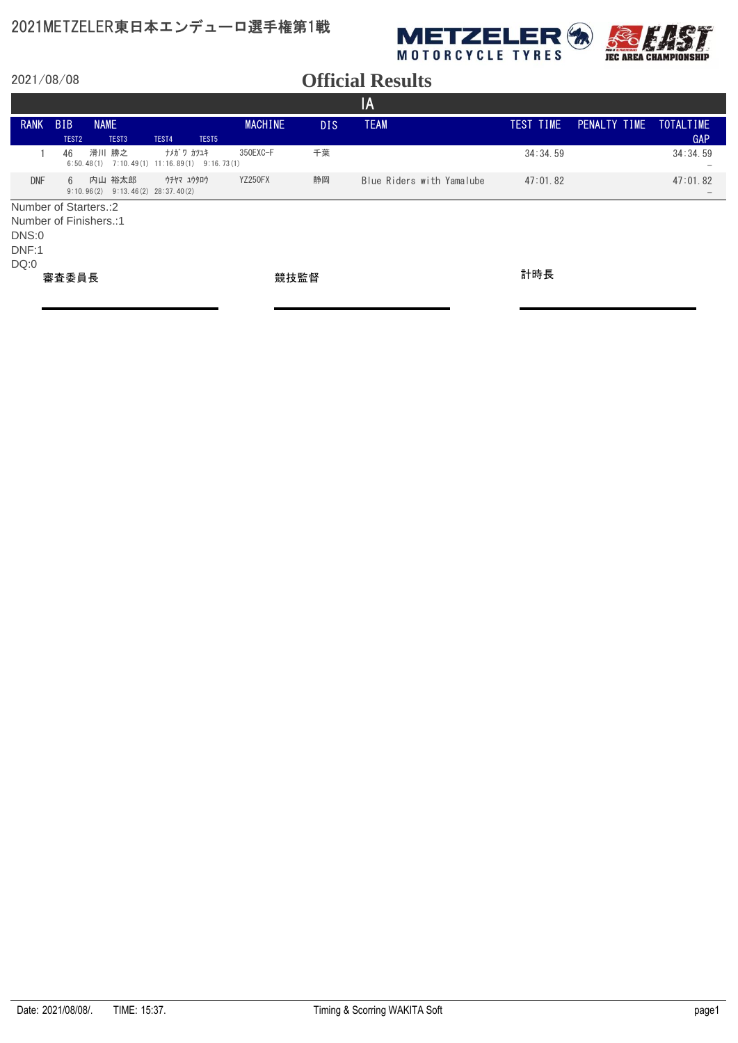

|                                                                            |                   |             |                   |                                                   |                |            | IA                        |           |              |                                             |
|----------------------------------------------------------------------------|-------------------|-------------|-------------------|---------------------------------------------------|----------------|------------|---------------------------|-----------|--------------|---------------------------------------------|
| <b>RANK</b>                                                                | <b>BIB</b>        | <b>NAME</b> |                   |                                                   | <b>MACHINE</b> | <b>DIS</b> | <b>TEAM</b>               | TEST TIME | PENALTY TIME | <b>TOTALTIME</b>                            |
|                                                                            | TEST <sub>2</sub> |             | TEST <sub>3</sub> | TEST4<br>TEST <sub>5</sub>                        |                |            |                           |           |              | <b>GAP</b>                                  |
|                                                                            | 46                | 6:50.48(1)  | 滑川 勝之             | ナメガ ワ カツユキ<br>$7:10.49(1)$ 11:16.89(1) 9:16.73(1) | 350EXC-F       | 千葉         |                           | 34:34.59  |              | 34:34.59<br>$\overline{\phantom{m}}$        |
| <b>DNF</b>                                                                 | 6                 | 9:10.96(2)  | 内山 裕太郎            | ウチヤマ ユウタロウ<br>$9:13.46(2)$ $28:37.40(2)$          | <b>YZ250FX</b> | 静岡         | Blue Riders with Yamalube | 47:01.82  |              | 47:01.82<br>$\hspace{0.1mm}-\hspace{0.1mm}$ |
| Number of Starters.: 2<br>Number of Finishers.:1<br>DNS:0<br>DNF:1<br>DQ:0 |                   |             |                   |                                                   |                |            |                           |           |              |                                             |
|                                                                            | 審査委員長             |             |                   |                                                   | 競技監督           |            |                           | 計時長       |              |                                             |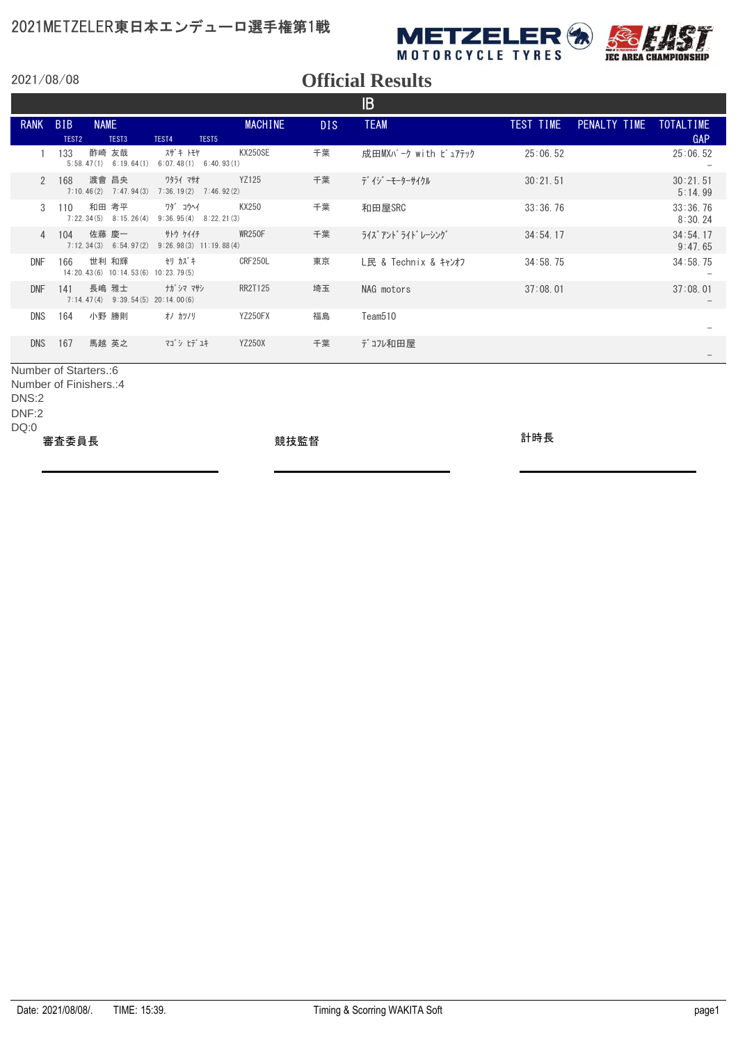

*IEC AREA CHAMPIONSHIP* 

2021/08/08

#### **Official Results**

|                     |                                 |             |                                         |                                             |                   |                |      | IB                   |           |                        |                     |
|---------------------|---------------------------------|-------------|-----------------------------------------|---------------------------------------------|-------------------|----------------|------|----------------------|-----------|------------------------|---------------------|
| <b>RANK</b>         | <b>BIB</b><br>TEST <sub>2</sub> | <b>NAME</b> | TEST <sub>3</sub>                       | TEST4                                       | TEST <sub>5</sub> | <b>MACHINE</b> | DIS. | <b>TEAM</b>          | TEST TIME | PENALTY TIME TOTALTIME | <b>GAP</b>          |
|                     | 133                             | 酢崎 友哉       | $5:58, 47(1)$ 6:19, 64(1)               | スザキートモヤ<br>$6:07.48(1)$ $6:40.93(1)$        |                   | <b>KX250SE</b> | 千葉   | 成田MXパーク with ピュアテック  | 25:06.52  |                        | 25:06.52            |
| $\mathcal{P}$       | 168                             |             | 渡會 昌央<br>$7:10.46(2)$ $7:47.94(3)$      | ワタライ マサオ<br>$7:36.19(2)$ $7:46.92(2)$       |                   | YZ125          | 千葉   | デ イジ ーモーターサイクル       | 30:21.51  |                        | 30:21.51<br>5:14.99 |
| 3                   | 110                             | 和田 考平       | $7:22.34(5)$ 8:15.26(4)                 | ワダ コウヘイ<br>$9:36.95(4)$ $8:22.21(3)$        |                   | KX250          | 千葉   | 和田屋SRC               | 33:36.76  |                        | 33:36.76<br>8:30.24 |
| $\overline{4}$      | 104                             | 佐藤 慶一       | $7:12.34(3)$ 6:54.97(2)                 | <b>サトウ ケイイチ</b><br>$9:26.98(3)$ 11:19.88(4) |                   | <b>WR250F</b>  | 千葉   | ライズ アント゛ライト゛ レーシング゛  | 34:54.17  |                        | 34:54.17<br>9:47.65 |
| DNF                 | 166                             | 世利 和輝       | 14:20.43(6) 10:14.53(6) 10:23.79(5)     | セリ カズキ                                      |                   | CRF250L        | 東京   | L民 & Technix & キャンオフ | 34:58.75  |                        | 34:58.75            |
| <b>DNF</b>          | 141                             | 長嶋 雅士       | $7:14.47(4)$ $9:39.54(5)$ $20:14.00(6)$ | ナガ゙シマ マサシ                                   |                   | <b>RR2T125</b> | 埼玉   | NAG motors           | 37:08.01  |                        | 37:08.01            |
| <b>DNS</b>          | 164                             | 小野 勝則       |                                         | オノ カツノリ                                     |                   | YZ250FX        | 福島   | Team <sub>510</sub>  |           |                        |                     |
| <b>DNS</b>          | 167                             |             | 馬越 英之                                   | マゴ シ ヒデ ユキ                                  |                   | <b>YZ250X</b>  | 千葉   | デコル和田屋               |           |                        |                     |
| Number of Classac O |                                 |             |                                         |                                             |                   |                |      |                      |           |                        |                     |

Number of Starters.:6 Number of Finishers.:4

DNS:2

DNF:2

DQ:0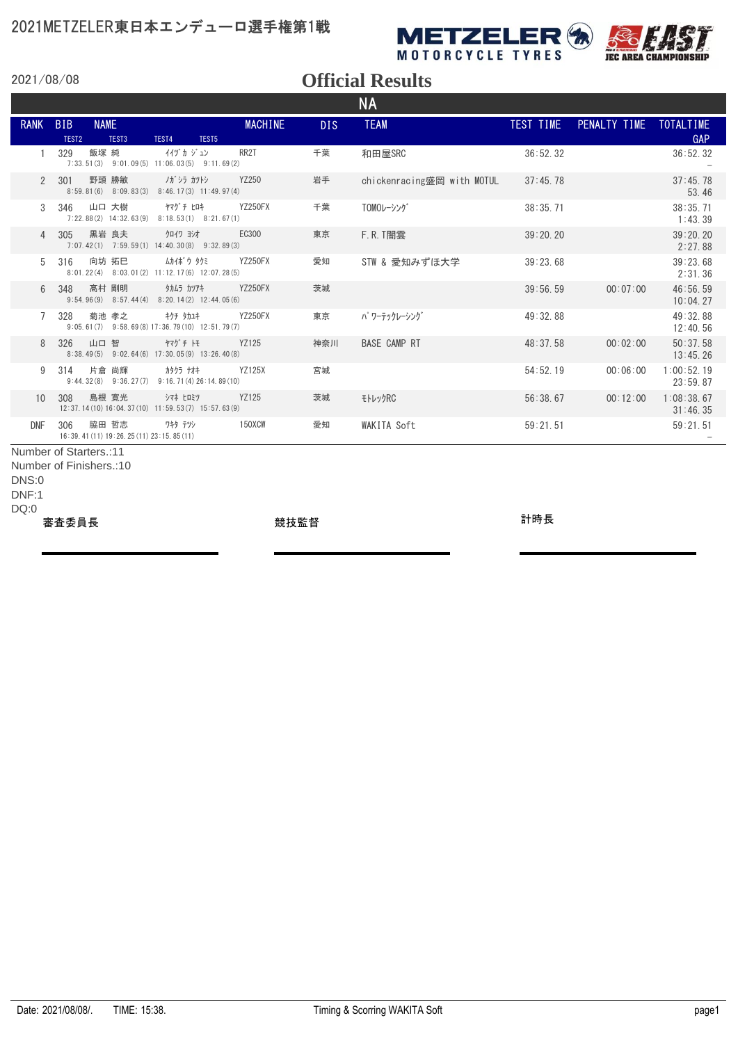



### **Official Results**

|                        |                                 |                                                                |                                                                       |                |      | <b>NA</b>                  |           |                        |                        |
|------------------------|---------------------------------|----------------------------------------------------------------|-----------------------------------------------------------------------|----------------|------|----------------------------|-----------|------------------------|------------------------|
| <b>RANK</b>            | <b>BIB</b><br>TEST <sub>2</sub> | <b>NAME</b><br>TEST <sub>3</sub>                               | TEST4<br>TEST5                                                        | <b>MACHINE</b> | DIS. | <b>TEAM</b>                | TEST TIME | PENALTY TIME TOTALTIME | GAP                    |
|                        | 329                             | 飯塚 純                                                           | イグカジュン<br>$7:33.51(3)$ $9:01.09(5)$ $11:06.03(5)$ $9:11.69(2)$        | RR2T           | 千葉   | 和田屋SRC                     | 36:52.32  |                        | 36:52.32               |
| $\mathcal{P}$          | 301                             | 野頭 勝敏                                                          | ノガ・シラ カツトシ<br>$8:59.81(6)$ $8:09.83(3)$ $8:46.17(3)$ $11:49.97(4)$    | YZ250          | 岩手   | chickenracing盛岡 with MOTUL | 37:45.78  |                        | 37:45.78<br>53.46      |
| 3                      | 346                             | 山口 大樹                                                          | ヤマグ チ ヒロキ<br>$7:22.88(2)$ 14:32.63(9) 8:18.53(1) 8:21.67(1)           | <b>YZ250FX</b> | 千葉   | TOMOレーシング                  | 38:35.71  |                        | 38:35.71<br>1:43.39    |
| $\overline{4}$         | 305                             | 黒岩 良夫                                                          | クロイワ ヨシオ<br>$7:07,42(1)$ $7:59,59(1)$ $14:40,30(8)$ $9:32,89(3)$      | EC300          | 東京   | $F.R.$ T闇雲                 | 39:20.20  |                        | 39:20.20<br>2:27.88    |
| 5                      | 316                             | 向坊 拓巳                                                          | ムカイボウ タクミ<br>8:01.22(4) 8:03.01(2) 11:12.17(6) 12:07.28(5)            | <b>YZ250FX</b> | 愛知   | STW & 愛知みずほ大学              | 39:23.68  |                        | 39:23.68<br>2:31.36    |
| 6                      | 348                             | 髙村 剛明                                                          | タカムラ カツアキ<br>$9:54.96(9)$ $8:57.44(4)$ $8:20.14(2)$ $12:44.05(6)$     | <b>YZ250FX</b> | 茨城   |                            | 39:56.59  | 00:07:00               | 46:56.59<br>10:04.27   |
| $\overline{7}$         | 328                             | 菊池 孝之                                                          | <b>キクチ タカユキ</b><br>$9:05.61(7)$ $9:58.69(8)$ 17:36.79(10) 12:51.79(7) | <b>YZ250FX</b> | 東京   | パ ワーテックレーシング               | 49:32.88  |                        | 49:32.88<br>12:40.56   |
| 8                      | 326                             | 山口 智                                                           | ヤマグチトモ<br>8:38.49(5) 9:02.64(6) 17:30.05(9) 13:26.40(8)               | YZ125          | 神奈川  | <b>BASE CAMP RT</b>        | 48:37.58  | 00:02:00               | 50:37.58<br>13:45.26   |
| 9                      | 314                             | 片倉 尚輝                                                          | カタクラ ナオキ<br>$9:44.32(8)$ $9:36.27(7)$ $9:16.71(4)26:14.89(10)$        | YZ125X         | 宮城   |                            | 54:52.19  | 00:06:00               | 1:00:52.19<br>23:59.87 |
| 10 <sup>1</sup>        | 308                             | 島根 寛光                                                          | シマネ ヒロミツ<br>12:37.14 (10) 16:04.37 (10) 11:59.53 (7) 15:57.63 (9)     | <b>YZ125</b>   | 茨城   | モトレックRC                    | 56:38.67  | 00:12:00               | 1:08:38.67<br>31:46.35 |
| <b>DNF</b>             | 306                             | 脇田 哲志<br>16:39.41 (11) 19:26.25 (11) 23:15.85 (11)             | ワキタ テツシ                                                               | <b>150XCW</b>  | 愛知   | <b>WAKITA Soft</b>         | 59:21.51  |                        | 59:21.51               |
| Number of Starters.:11 |                                 | $N_{\text{turbark}}$ of $\Gamma_{\text{turbark}}$ of $\Lambda$ |                                                                       |                |      |                            |           |                        |                        |

Number of Finishers.:10

DNS:0

DNF:1

DQ:0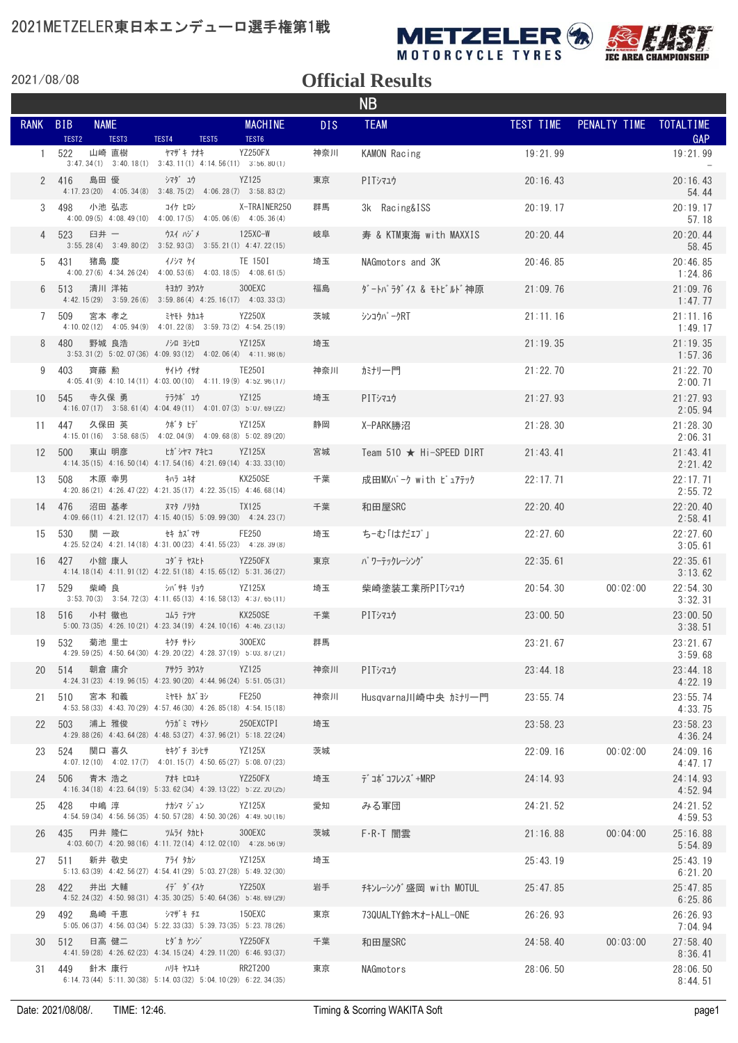

MOTORCYCLE TYRES



2021/08/08

| <b>NB</b>    |                                                         |                                                                                                  |                         |            |                                |                  |                        |                        |  |  |  |
|--------------|---------------------------------------------------------|--------------------------------------------------------------------------------------------------|-------------------------|------------|--------------------------------|------------------|------------------------|------------------------|--|--|--|
| <b>RANK</b>  | <b>NAME</b><br><b>BIB</b><br>TEST <sub>2</sub><br>TEST3 |                                                                                                  | <b>MACHINE</b><br>TEST6 | <b>DIS</b> | <b>TEAM</b>                    | <b>TEST TIME</b> | PENALTY TIME TOTALTIME |                        |  |  |  |
| $\mathbf{1}$ | 山崎 直樹<br>522                                            | TEST4<br>TEST5<br>ヤマザ キ ナオキ<br>$3:47.34(1)$ $3:40.18(1)$ $3:43.11(1)$ $4:14.56(11)$ $3:56.80(1)$ | YZ250FX                 | 神奈川        | KAMON Racing                   | 19:21.99         |                        | <b>GAP</b><br>19:21.99 |  |  |  |
|              | 島田 優<br>2 416                                           | シマダュウ<br>$4:17.23(20)$ $4:05.34(8)$ $3:48.75(2)$ $4:06.28(7)$ $3:58.83(2)$                       | YZ125                   | 東京         | PITシマュウ                        | 20:16.43         |                        | 20:16.43<br>54.44      |  |  |  |
| 3            | 小池 弘志<br>498                                            | コイケ ヒロシ<br>4:00.09 (5) 4:08.49 (10) 4:00.17 (5) 4:05.06 (6) 4:05.36 (4)                          | X-TRAINER250            | 群馬         | 3k Racing&ISS                  | 20:19:17         |                        | 20:19.17<br>57.18      |  |  |  |
| 4            | 523<br>臼井 一                                             | ウスイ ハジメ<br>$3:55.28(4)$ $3:49.80(2)$ $3:52.93(3)$ $3:55.21(1)$ $4:47.22(15)$                     | $125XC-W$               | 岐阜         | 寿 & KTM東海 with MAXXIS          | 20:20.44         |                        | 20:20.44<br>58.45      |  |  |  |
| 5            | 431<br>猪島 慶                                             | イノシマ ケイ<br>$4:00.27(6)$ $4:34.26(24)$ $4:00.53(6)$ $4:03.18(5)$ $4:08.61(5)$                     | TE 150I                 | 埼玉         | NAGmotors and 3K               | 20:46.85         |                        | 20:46.85<br>1:24.86    |  |  |  |
| 6            | 清川 洋祐<br>513                                            | キヨカワ ヨウスケ<br>$4:42.15(29)$ $3:59.26(6)$ $3:59.86(4)$ $4:25.16(17)$ $4:03.33(3)$                  | 300EXC                  | 福島         | ダートパラダイス & モトビルド神原             | 21:09.76         |                        | 21:09.76<br>1:47.77    |  |  |  |
|              | 509<br>宮本 孝之                                            | ミヤモト タカユキ<br>4:10.02 (12) 4:05.94 (9) 4:01.22 (8) 3:59.73 (2) 4:54.25 (19)                       | YZ250X                  | 茨城         | シンコウパ <i>ー</i> クRT             | 21:11.16         |                        | 21:11.16<br>1:49.17    |  |  |  |
| 8            | 480<br>野城 良浩                                            | /シロ ヨシヒロ<br>$3:53.31(2)$ $5:02.07(36)$ $4:09.93(12)$ $4:02.06(4)$ $4:11.98(6)$                   | YZ125X                  | 埼玉         |                                | 21:19.35         |                        | 21:19.35<br>1:57.36    |  |  |  |
| 9            | 403<br>齊藤 勲                                             | サイトウ イサオ<br>$4:05.41(9)$ $4:10.14(11)$ $4:03.00(10)$ $4:11.19(9)$ $4:52.96(11)$                  | TE250I                  | 神奈川        | カミナリ一門                         | 21:22.70         |                        | 21:22.70<br>2:00.71    |  |  |  |
|              | 10 545<br>寺久保 勇                                         | テラクボ゛ュウ<br>4:16.07(17) 3:58.61(4) 4:04.49(11) 4:01.07(3) 5:07.69(22)                             | YZ125                   | 埼玉         | PITシマユウ                        | 21:27.93         |                        | 21:27.93<br>2:05.94    |  |  |  |
| 11           | 久保田 英<br>447                                            | クボタ ヒデ<br>4:15.01 (16) 3:58.68 (5) 4:02.04 (9) 4:09.68 (8) 5:02.89 (20)                          | YZ125X                  | 静岡         | X-PARK勝沼                       | 21:28.30         |                        | 21:28.30<br>2:06.31    |  |  |  |
| 12           | 500<br>東山 明彦                                            | ヒガ・シヤマ アキヒコ<br>$4:14.35(15)$ $4:16.50(14)$ $4:17.54(16)$ $4:21.69(14)$ $4:33.33(10)$             | YZ125X                  | 宮城         | Team 510 $\star$ Hi-SPEED DIRT | 21:43.41         |                        | 21:43.41<br>2:21.42    |  |  |  |
| 13           | 木原 幸男<br>508                                            | キハラ ユキオ<br>4:20.86(21) 4:26.47(22) 4:21.35(17) 4:22.35(15) 4:46.68(14)                           | KX250SE                 | 千葉         | 成田MXパーク with ピュアテック            | 22:17.71         |                        | 22:17.71<br>2:55.72    |  |  |  |
|              | 沼田 基孝<br>14 476                                         | ヌマタ ノリタカ<br>$4:09.66(11)$ $4:21.12(17)$ $4:15.40(15)$ $5:09.99(30)$ $4:24.23(7)$                 | TX125                   | 千葉         | 和田屋SRC                         | 22:20.40         |                        | 22:20.40<br>2:58.41    |  |  |  |
| 15           | 関 一政<br>530                                             | セキ カズ マサ<br>$4:25.52(24)$ $4:21.14(18)$ $4:31.00(23)$ $4:41.55(23)$ $4:28.39(8)$                 | FE250                   | 埼玉         | ち‐む「はだエプ」                      | 22:27.60         |                        | 22:27.60<br>3:05.61    |  |  |  |
|              | 16 427<br>小舘 康人                                         | コダ テ ヤスヒト<br>4:14.18(14) 4:11.91(12) 4:22.51(18) 4:15.65(12) 5:31.36(27)                         | YZ250FX                 | 東京         | パ ワーテックレーシング                   | 22:35.61         |                        | 22:35.61<br>3:13.62    |  |  |  |
| 17           | 柴崎 良<br>529                                             | シバサキ リョウ<br>$3:53.70(3)$ $3:54.72(3)$ $4:11.65(13)$ $4:16.58(13)$ $4:37.65(11)$                  | YZ125X                  | 埼玉         | 柴崎塗装工業所PITシマユウ                 | 20:54.30         | 00:02:00               | 22:54.30<br>3:32.31    |  |  |  |
| 18           | 516<br>小村 徹也                                            | コムラ テツヤ<br>5:00.73 (35) 4:26.10 (21) 4:23.34 (19) 4:24.10 (16) 4:46.23 (13)                      | KX250SE                 | 千葉         | PITシマユウ                        | 23:00.50         |                        | 23:00.50<br>3:38.51    |  |  |  |
| 19           | 532<br>菊池 里士                                            | キクチ サトシ<br>4:29.59 (25) 4:50.64 (30) 4:29.20 (22) 4:28.37 (19) 5:03.87 (21)                      | 300EXC                  | 群馬         |                                | 23:21.67         |                        | 23:21.67<br>3:59.68    |  |  |  |
| 20           | 514<br>朝倉 庸介                                            | アサクラ ヨウスケ<br>4:24.31 (23) 4:19.96 (15) 4:23.90 (20) 4:44.96 (24) 5:51.05 (31)                    | YZ125                   | 神奈川        | PITシマユウ                        | 23:44.18         |                        | 23:44.18<br>4:22.19    |  |  |  |
| 21           | 宮本 和義<br>510                                            | ミヤモト カズヨシ<br>4:53.58 (33) 4:43.70 (29) 4:57.46 (30) 4:26.85 (18) 4:54.15 (18)                    | FE250                   | 神奈川        | Husqvarna川崎中央 がサー門             | 23:55.74         |                        | 23:55.74<br>4:33.75    |  |  |  |
| 22           | 浦上 雅俊<br>503                                            | ウラガ ミ マサトシ<br>4:29.88 (26) 4:43.64 (28) 4:48.53 (27) 4:37.96 (21) 5:18.22 (24)                   | 250EXCTPI               | 埼玉         |                                | 23:58.23         |                        | 23:58.23<br>4:36.24    |  |  |  |
| 23           | 524<br>関口 喜久                                            | セキグ チ ヨシヒサ<br>$4:07.12(10)$ $4:02.17(7)$ $4:01.15(7)$ $4:50.65(27)$ $5:08.07(23)$                | YZ125X                  | 茨城         |                                | 22:09.16         | 00:02:00               | 24:09.16<br>4:47.17    |  |  |  |
| 24           | 青木 浩之<br>506                                            | アオキ ヒロユキ<br>4:16.34(18) 4:23.64(19) 5:33.62(34) 4:39.13(22) 5:22.20(25)                          | YZ250FX                 | 埼玉         | デ゙コボ゙コフレンズ +MRP                | 24:14.93         |                        | 24:14.93<br>4:52.94    |  |  |  |
| 25           | 中嶋 淳<br>428                                             | ナカシマ ジュン<br>4:54.59 (34) 4:56.56 (35) 4:50.57 (28) 4:50.30 (26) 4:49.50 (16)                     | YZ125X                  | 愛知         | みる軍団                           | 24:21.52         |                        | 24:21.52<br>4:59.53    |  |  |  |
| 26           | 435<br>円井 隆仁                                            | ツムライ タカヒト<br>4:03.60(7) 4:20.98(16) 4:11.72(14) 4:12.02(10) 4:28.56(9)                           | 300EXC                  | 茨城         | F·R·T 闇雲                       | 21:16.88         | 00:04:00               | 25:16.88<br>5:54.89    |  |  |  |
| 27           | 新井 敬史<br>511                                            | アライ タカシ<br>5:13.63(39) 4:42.56(27) 4:54.41(29) 5:03.27(28) 5:49.32(30)                           | YZ125X                  | 埼玉         |                                | 25:43.19         |                        | 25:43.19<br>6:21.20    |  |  |  |
| 28           | 井出 大輔<br>422                                            | イデ ダイスケ<br>4:52.24 (32) 4:50.98 (31) 4:35.30 (25) 5:40.64 (36) 5:48.69 (29)                      | <b>YZ250X</b>           | 岩手         | チキンレーシング盛岡 with MOTUL          | 25:47.85         |                        | 25:47.85<br>6:25.86    |  |  |  |
| 29           | 492<br>島崎 千恵                                            | シマザキ チエ<br>5:05.06(37) 4:56.03(34) 5:22.33(33) 5:39.73(35) 5:23.78(26)                           | 150EXC                  | 東京         | 73QUALTY鈴木オートALL-ONE           | 26:26.93         |                        | 26:26.93<br>7:04.94    |  |  |  |
| 30           | 日高 健二<br>512                                            | ヒダカ ケンジ<br>4:41.59 (28) 4:26.62 (23) 4:34.15 (24) 4:29.11 (20) 6:46.93 (37)                      | YZ250FX                 | 千葉         | 和田屋SRC                         | 24:58.40         | 00:03:00               | 27:58.40<br>8:36.41    |  |  |  |
| 31           | 449<br>針木 康行                                            | ハリキ ヤスユキ<br>$6:14.73(44)$ $5:11.30(38)$ $5:14.03(32)$ $5:04.10(29)$ $6:22.34(35)$                | RR2T200                 | 東京         | NAGmotors                      | 28:06.50         |                        | 28:06.50<br>8:44.51    |  |  |  |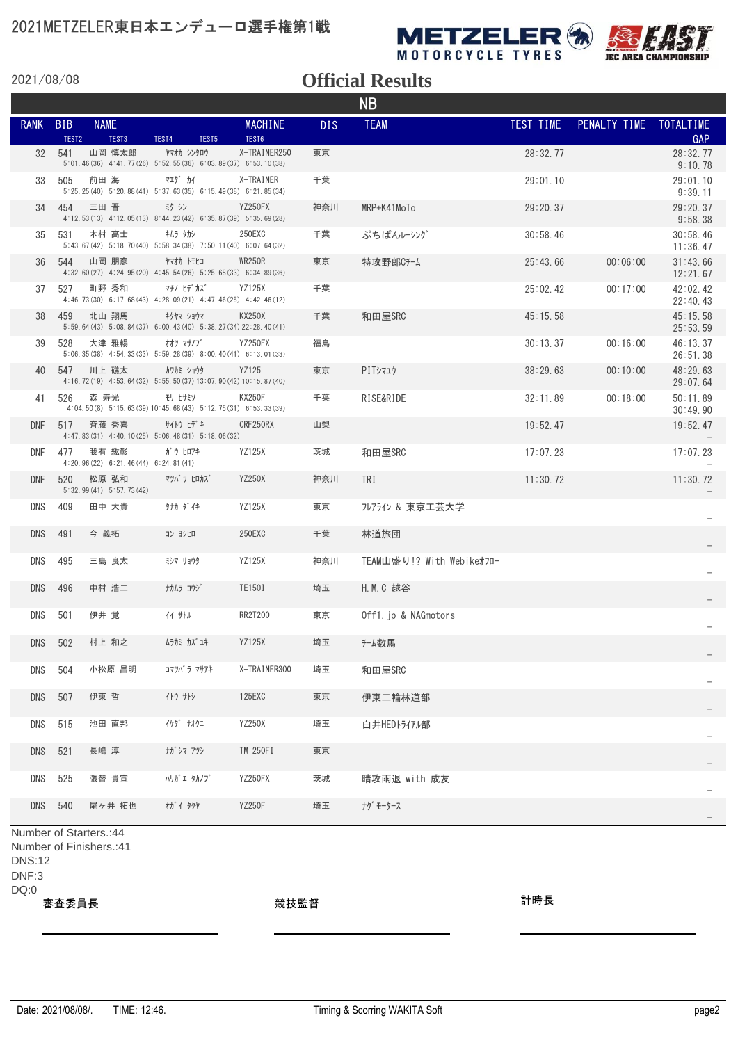

**IEC AREA CHAMPIONSHIP** 

2021/08/08

#### **Official Results**

|             |                                 |                                                |                                                                                |                         |            | <b>NB</b>                 |           |                        |                      |
|-------------|---------------------------------|------------------------------------------------|--------------------------------------------------------------------------------|-------------------------|------------|---------------------------|-----------|------------------------|----------------------|
| <b>RANK</b> | <b>BIB</b><br>TEST <sub>2</sub> | <b>NAME</b><br>TEST3                           | TEST4<br>TEST5                                                                 | <b>MACHINE</b><br>TEST6 | <b>DIS</b> | <b>TEAM</b>               | TEST TIME | PENALTY TIME TOTALTIME | GAP                  |
| 32          | 541                             | 山岡 慎太郎                                         | ヤマオカ シンタロウ<br>5:01.46(36) 4:41.77(26) 5:52.55(36) 6:03.89(37) 6:53.10(38)      | X-TRAINER250            | 東京         |                           | 28:32.77  |                        | 28:32.77<br>9:10.78  |
| 33          | 505                             | 前田 海                                           | 719° カイ<br>5:25.25(40) 5:20.88(41) 5:37.63(35) 6:15.49(38) 6:21.85(34)         | X-TRAINER               | 千葉         |                           | 29:01.10  |                        | 29:01.10<br>9:39.11  |
| 34          | 454                             | 三田 晋                                           | 39 沙<br>4:12.53(13) 4:12.05(13) 8:44.23(42) 6:35.87(39) 5:35.69(28)            | YZ250FX                 | 神奈川        | MRP+K41MoTo               | 29:20.37  |                        | 29:20.37<br>9:58.38  |
| 35          | 531                             | 木村 高士                                          | キムラ タカシ<br>5:43.67(42) 5:18.70(40) 5:58.34(38) 7:50.11(40) 6:07.64(32)         | 250EXC                  | 千葉         | ぷちぱんレーシング                 | 30:58.46  |                        | 30:58.46<br>11:36.47 |
| 36          | 544                             | 山岡 朋彦                                          | ヤマオカ トモヒコ<br>4:32.60(27) 4:24.95(20) 4:45.54(26) 5:25.68(33) 6:34.89(36)       | WR250R                  | 東京         | 特攻野郎Cチーム                  | 25:43.66  | 00:06:00               | 31:43.66<br>12:21.67 |
| 37          | 527                             | 町野 秀和                                          | マチノ ヒデ゙カズ゙<br>4:46.73 (30) 6:17.68 (43) 4:28.09 (21) 4:47.46 (25) 4:42.46 (12) | <b>YZ125X</b>           | 千葉         |                           | 25:02.42  | 00:17:00               | 42:02.42<br>22:40.43 |
| 38          | 459                             | 北山 翔馬                                          | キタヤマ ショウマ<br>5:59.64 (43) 5:08.84 (37) 6:00.43 (40) 5:38.27 (34) 22:28.40 (41) | KX250X                  | 千葉         | 和田屋SRC                    | 45:15.58  |                        | 45:15.58<br>25:53.59 |
| 39          | 528                             | 大津 雅暢                                          | オオツ マサノブ゛<br>5:06.35(38) 4:54.33(33) 5:59.28(39) 8:00.40(41) 6:13.01(33)       | <b>YZ250FX</b>          | 福島         |                           | 30:13.37  | 00:16:00               | 46:13.37<br>26:51.38 |
| 40          | 547                             | 川上 礁太                                          | カワカミ ショウタ<br>4:16.72(19) 4:53.64(32) 5:55.50(37) 13:07.90(42) 10:15.8/(40)     | YZ125                   | 東京         | PITシマュウ                   | 38:29.63  | 00:10:00               | 48:29.63<br>29:07.64 |
| 41          | 526                             | 森 寿光                                           | モリ ヒサミツ<br>4:04.50(8) 5:15.63(39) 10:45.68(43) 5:12.75(31) 6:53.33(39)         | <b>KX250F</b>           | 千葉         | RISE&RIDE                 | 32:11.89  | 00:18:00               | 50:11.89<br>30:49.90 |
| <b>DNF</b>  | 517                             | 斉藤 秀喜                                          | サイトウ ヒデキ<br>4:47.83(31) 4:40.10(25) 5:06.48(31) 5:18.06(32)                    | CRF250RX                | 山梨         |                           | 19:52.47  |                        | 19:52.47             |
| DNF         | 477                             | 我有 紘彰<br>$4:20.96(22)$ 6:21.46(44) 6:24.81(41) | ガウ ヒロアキ                                                                        | YZ125X                  | 茨城         | 和田屋SRC                    | 17:07.23  |                        | 17:07.23             |
| DNF         | 520                             | 松原 弘和<br>$5:32.99(41)$ $5:57.73(42)$           | マツバ ラ ヒロカズ                                                                     | <b>YZ250X</b>           | 神奈川        | TRI                       | 11:30.72  |                        | 11:30.72             |
| DNS         | 409                             | 田中 大貴                                          | タナカ ダイキ                                                                        | YZ125X                  | 東京         | フレアライン & 東京工芸大学           |           |                        |                      |
| <b>DNS</b>  | 491                             | 今 義拓                                           | コン ヨシヒロ                                                                        | 250EXC                  | 千葉         | 林道旅団                      |           |                        |                      |
| <b>DNS</b>  | 495                             | 三島 良太                                          | ミシマ リョウタ                                                                       | YZ125X                  | 神奈川        | TEAM山盛り!? With Webikeオフロー |           |                        |                      |
| <b>DNS</b>  | 496                             | 中村 浩二                                          | ナカムラ コウジ                                                                       | TE150I                  | 埼玉         | H. M. C 越谷                |           |                        |                      |
| <b>DNS</b>  | 501                             | 伊井 覚                                           | 11 サトル                                                                         | RR2T200                 | 東京         | Off1. jp & NAGmotors      |           |                        |                      |
| <b>DNS</b>  | 502                             | 村上 和之                                          | ムラカミ カズ ユキ                                                                     | <b>YZ125X</b>           | 埼玉         | チーム数馬                     |           |                        |                      |
| DNS         | 504                             | 小松原 昌明                                         | コマツバ ラ マサアキ                                                                    | X-TRAINER300            | 埼玉         | 和田屋SRC                    |           |                        |                      |
| DNS         | 507                             | 伊東 哲                                           | イトウ サトシ                                                                        | 125EXC                  | 東京         | 伊東二輪林道部                   |           |                        |                      |
| DNS         | 515                             | 池田 直邦                                          | イケダ ナオクニ                                                                       | YZ250X                  | 埼玉         | 白井HEDトライアル部               |           |                        |                      |
| <b>DNS</b>  | 521                             | 長嶋 淳                                           | ナガ・シマ アツシ                                                                      | TM 250FI                | 東京         |                           |           |                        |                      |
| DNS         | 525                             | 張替 貴宣                                          | ハリガ ェ タカノブ                                                                     | YZ250FX                 | 茨城         | 晴攻雨退 with 成友              |           |                        |                      |
| DNS         | 540                             | 尾ヶ井 拓也                                         | オガイタクヤ                                                                         | <b>YZ250F</b>           | 埼玉         | ナグ モータース                  |           |                        |                      |
|             |                                 | Number of Starters.: 44                        |                                                                                |                         |            |                           |           |                        |                      |

Number of Finishers.:41

DNS:12

DNF:3

DQ:0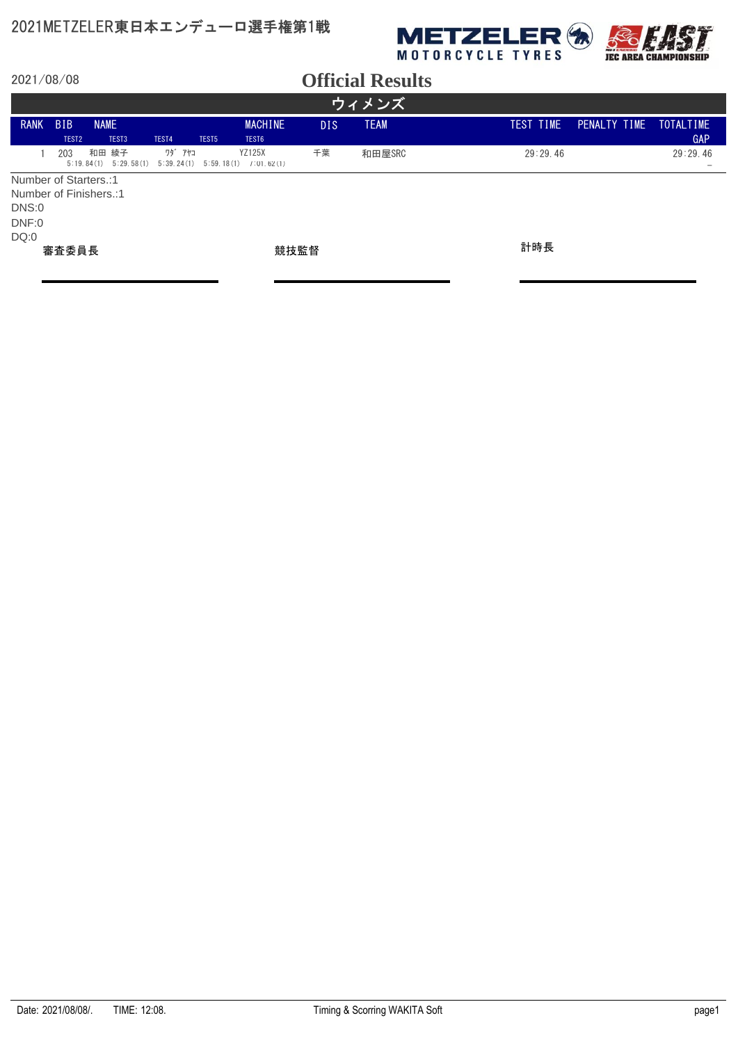

|                        | ウィメンズ                           |                                   |        |                   |                                                         |            |             |  |           |              |                                      |  |
|------------------------|---------------------------------|-----------------------------------|--------|-------------------|---------------------------------------------------------|------------|-------------|--|-----------|--------------|--------------------------------------|--|
| <b>RANK</b>            | <b>BIB</b><br>TEST <sub>2</sub> | <b>NAME</b><br>TEST <sub>3</sub>  | TEST4  | TEST <sub>5</sub> | <b>MACHINE</b><br>TEST6                                 | <b>DIS</b> | <b>TEAM</b> |  | TEST TIME | PENALTY TIME | TOTALTIME<br>GAP                     |  |
|                        | 203                             | 和田 綾子<br>5:29.58(1)<br>5:19.84(1) | ワダ゛アヤコ |                   | <b>YZ125X</b><br>$5:39.24(1)$ $5:59.18(1)$ $7:01.62(1)$ | 千葉         | 和田屋SRC      |  | 29:29.46  |              | 29:29.46<br>$\overline{\phantom{a}}$ |  |
| Number of Starters.:1  |                                 |                                   |        |                   |                                                         |            |             |  |           |              |                                      |  |
| Number of Finishers.:1 |                                 |                                   |        |                   |                                                         |            |             |  |           |              |                                      |  |
| DNS:0                  |                                 |                                   |        |                   |                                                         |            |             |  |           |              |                                      |  |
| DNF:0                  |                                 |                                   |        |                   |                                                         |            |             |  |           |              |                                      |  |
| DQ:0                   |                                 |                                   |        |                   |                                                         |            |             |  |           |              |                                      |  |
|                        | 審査委員長                           |                                   |        |                   |                                                         | 競技監督       |             |  | 計時長       |              |                                      |  |
|                        |                                 |                                   |        |                   |                                                         |            |             |  |           |              |                                      |  |
|                        |                                 |                                   |        |                   |                                                         |            |             |  |           |              |                                      |  |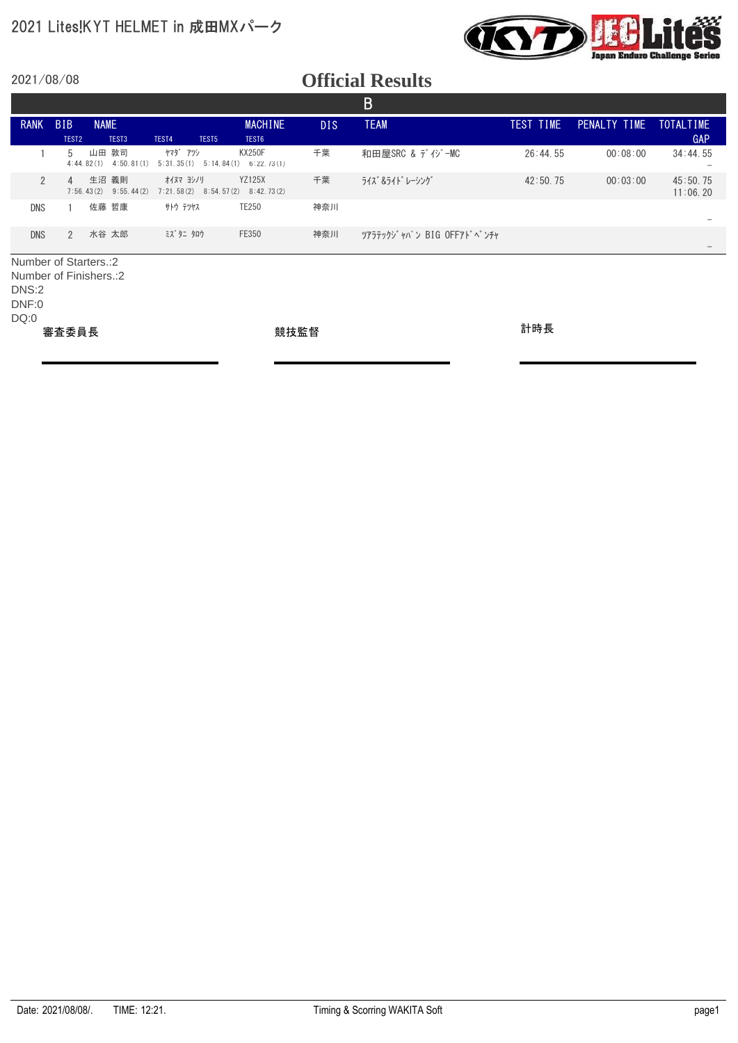#### 2021 Lites!KYT HELMET in 成田MXパーク



2021/08/08

|                        |                   |                                       |                                       |                             |      | B                        |           |              |                      |
|------------------------|-------------------|---------------------------------------|---------------------------------------|-----------------------------|------|--------------------------|-----------|--------------|----------------------|
| <b>RANK</b>            | <b>BIB</b>        | <b>NAME</b>                           |                                       | <b>MACHINE</b>              | DIS. | <b>TEAM</b>              | TEST TIME | PENALTY TIME | <b>TOTALTIME</b>     |
|                        | TEST <sub>2</sub> | TEST <sub>3</sub>                     | TEST4<br>TEST5                        | TEST6                       |      |                          |           |              | GAP                  |
|                        | 5                 | 敦司<br>山田<br>4:50, 81(1)<br>4:44.82(1) | ヤマダ゛アツシ<br>5:31.35(1)<br>5:14.84(1)   | <b>KX250F</b><br>6:22.73(1) | 千葉   | 和田屋SRC & ディジーMC          | 26:44.55  | 00:08:00     | 34:44.55             |
| $\overline{2}$         | $\overline{4}$    | 生沼<br>義則<br>7:56.43(2)<br>9:55.44(2)  | オイヌマ ヨシノリ<br>7:21.58(2)<br>8:54.57(2) | <b>YZ125X</b><br>8:42.73(2) | 千葉   | ライズ &ライト゛レーシング゛          | 42:50.75  | 00:03:00     | 45:50.75<br>11:06.20 |
| <b>DNS</b>             |                   | 佐藤 哲康                                 | サトウ テツヤス                              | TE250                       | 神奈川  |                          |           |              |                      |
| <b>DNS</b>             | $\overline{2}$    | 水谷 太郎                                 | ミズ タニ タロウ                             | FE350                       | 神奈川  | ツアラテックジャパン BIG OFFアドベンチャ |           |              |                      |
| Number of Starters.: 2 |                   |                                       |                                       |                             |      |                          |           |              |                      |
| DNS:2<br>DNF:0         |                   | Number of Finishers.: 2               |                                       |                             |      |                          |           |              |                      |
| DQ:0                   |                   |                                       |                                       |                             |      |                          |           |              |                      |
|                        | 審査委員長             |                                       |                                       | 競技監督                        |      |                          | 計時長       |              |                      |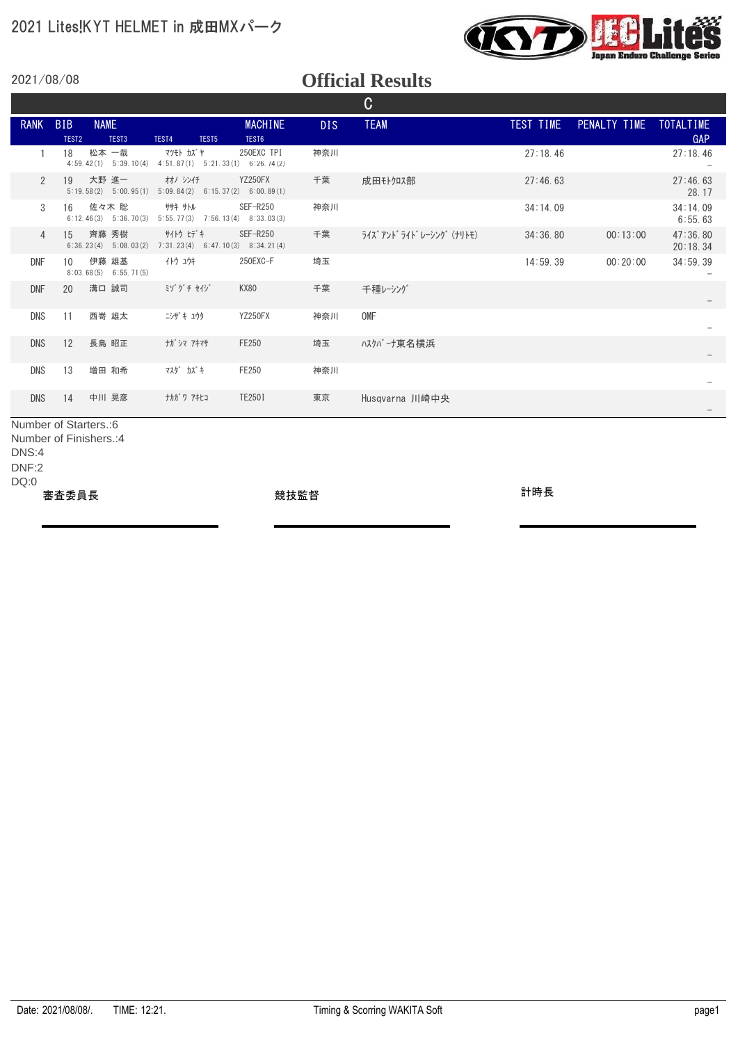

#### **Official Results**

|                |                                 |                                     |                                                    |                         |      | C                          |           |                        |                      |
|----------------|---------------------------------|-------------------------------------|----------------------------------------------------|-------------------------|------|----------------------------|-----------|------------------------|----------------------|
| <b>RANK</b>    | <b>BIB</b><br>TEST <sub>2</sub> | <b>NAME</b><br>TEST3                | TEST5<br>TEST4                                     | <b>MACHINE</b><br>TEST6 | DIS. | <b>TEAM</b>                | TEST TIME | PENALTY TIME TOTALTIME | GAP                  |
|                | 18                              | 松本 一哉<br>$4:59.42(1)$ $5:39.10(4)$  | マツモト カズヤ<br>$4:51.87(1)$ $5:21.33(1)$ $6:26.74(2)$ | 250EXC TPI              | 神奈川  |                            | 27:18.46  |                        | 27:18.46             |
| $\mathcal{P}$  | 19                              | 大野 進一<br>$5:19.58(2)$ $5:00.95(1)$  | オオノ シンイチ<br>$5:09.84(2)$ $6:15.37(2)$ $6:00.89(1)$ | YZ250FX                 | 千葉   | 成田モトクロス部                   | 27:46.63  |                        | 27:46.63<br>28.17    |
| 3              | 16                              | 佐々木 聡<br>$6:12.46(3)$ $5:36.70(3)$  | ササキ サトル<br>$5:55.77(3)$ $7:56.13(4)$ $8:33.03(3)$  | SEF-R250                | 神奈川  |                            | 34:14.09  |                        | 34:14.09<br>6:55.63  |
| $\overline{4}$ | 15                              | 齊藤 秀樹<br>$6:36.23(4)$ $5:08.03(2)$  | サイトウ ヒデキ<br>$7:31.23(4)$ 6:47.10(3) 8:34.21(4)     | SEF-R250                | 千葉   | ライズ アント゛ライト゛ レーシンク゛ (ナリトモ) | 34:36.80  | 00:13:00               | 47:36.80<br>20:18.34 |
| <b>DNF</b>     | 10 <sup>1</sup>                 | 伊藤<br>雄基<br>$8:03.68(5)$ 6:55.71(5) | イトウ ユウキ                                            | 250EXC-F                | 埼玉   |                            | 14:59.39  | 00:20:00               | 34:59.39             |
| <b>DNF</b>     | 20                              | 溝口 誠司                               | ミゾグチセイジ                                            | <b>KX80</b>             | 千葉   | 千種レーシング                    |           |                        |                      |
| DNS            | 11                              | 西嵜 雄太                               | ニシザキ ユウタ                                           | YZ250FX                 | 神奈川  | <b>OMF</b>                 |           |                        |                      |
| DNS            | 12                              | 長島 昭正                               | ナガジマ アキマサ                                          | FE250                   | 埼玉   | ハスクバーナ東名横浜                 |           |                        |                      |
| DNS            | 13                              | 増田 和希                               | マスダ カズキ                                            | FE250                   | 神奈川  |                            |           |                        |                      |
| <b>DNS</b>     | 14                              | 中川 晃彦                               | ナカガ ワ アキヒコ                                         | TE250I                  | 東京   | Husqvarna 川崎中央             |           |                        |                      |

Number of Starters.:6

Number of Finishers.:4

DNS:4

DNF:2

DQ:0